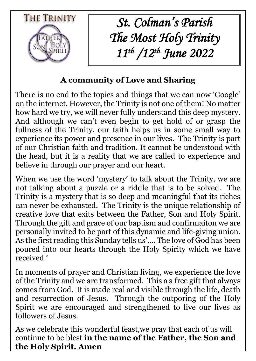

*St. Colman's Parish The Most Holy Trinity 11th /12th June 2022*

# **A community of Love and Sharing**

There is no end to the topics and things that we can now 'Google' on the internet. However, the Trinity is not one of them! No matter how hard we try, we will never fully understand this deep mystery. And although we can't even begin to get hold of or grasp the fullness of the Trinity, our faith helps us in some small way to experience its power and presence in our lives. The Trinity is part of our Christian faith and tradition. It cannot be understood with the head, but it is a reality that we are called to experience and believe in through our prayer and our heart.

When we use the word 'mystery' to talk about the Trinity, we are not talking about a puzzle or a riddle that is to be solved. The Trinity is a mystery that is so deep and meaningful that its riches can never be exhausted. The Trinity is the unique relationship of creative love that exits between the Father, Son and Holy Spirit. Through the gift and grace of our baptism and confirmaiton we are personally invited to be part of this dynamic and life-giving union. As the first reading this Sunday tells us'…. The love of God has been poured into our hearts through the Holy Spirity which we have received.'

In moments of prayer and Christian living, we experience the love of the Trinity and we are transformed. This a a free gift that always comes from God. It is made real and visible through the life, death and resurrection of Jesus. Through the outporing of the Holy Spirit we are encouraged and strengthened to live our lives as followers of Jesus.

As we celebrate this wonderful feast,we pray that each of us will continue to be blest **in the name of the Father, the Son and the Holy Spirit. Amen**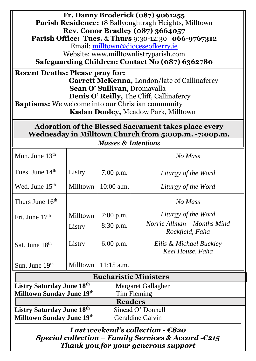| Fr. Danny Broderick (087) 9061255<br><b>Parish Residence: 18 Ballyoughtragh Heights, Milltown</b><br><b>Rev. Conor Bradley (087) 3664057</b><br><b>Parish Office: Tues. &amp; Thurs 9:30-12:30 066-9767312</b><br>Email: milltown@dioceseofkerry.ie<br>Website: www.milltownlistryparish.com<br>Safeguarding Children: Contact No (087) 6362780<br><b>Recent Deaths: Please pray for:</b><br><b>Garrett McKenna, London/late of Callinafercy</b><br>Sean O' Sullivan, Dromavalla<br><b>Denis O' Reilly, The Cliff, Callinafercy</b><br><b>Baptisms:</b> We welcome into our Christian community<br><b>Kadan Dooley, Meadow Park, Milltown</b> |                    |                             |                                                                       |
|-----------------------------------------------------------------------------------------------------------------------------------------------------------------------------------------------------------------------------------------------------------------------------------------------------------------------------------------------------------------------------------------------------------------------------------------------------------------------------------------------------------------------------------------------------------------------------------------------------------------------------------------------|--------------------|-----------------------------|-----------------------------------------------------------------------|
| <b>Adoration of the Blessed Sacrament takes place every</b><br>Wednesday in Milltown Church from 5:00p.m. -7:00p.m.<br><b>Masses &amp; Intentions</b>                                                                                                                                                                                                                                                                                                                                                                                                                                                                                         |                    |                             |                                                                       |
| Mon. June $13th$                                                                                                                                                                                                                                                                                                                                                                                                                                                                                                                                                                                                                              |                    |                             | No Mass                                                               |
|                                                                                                                                                                                                                                                                                                                                                                                                                                                                                                                                                                                                                                               |                    |                             |                                                                       |
| Tues. June 14 <sup>th</sup>                                                                                                                                                                                                                                                                                                                                                                                                                                                                                                                                                                                                                   | Listry             | $7:00$ p.m.                 | Liturgy of the Word                                                   |
| Wed. June $15th$                                                                                                                                                                                                                                                                                                                                                                                                                                                                                                                                                                                                                              |                    | Milltown $\vert$ 10:00 a.m. | Liturgy of the Word                                                   |
| Thurs June 16 <sup>th</sup>                                                                                                                                                                                                                                                                                                                                                                                                                                                                                                                                                                                                                   |                    |                             | No Mass                                                               |
| Fri. June $17th$                                                                                                                                                                                                                                                                                                                                                                                                                                                                                                                                                                                                                              | Milltown<br>Listry | $7:00$ p.m.<br>$8:30$ p.m.  | Liturgy of the Word<br>Norrie Allman – Months Mind<br>Rockfield, Faha |
| Sat. June 18th                                                                                                                                                                                                                                                                                                                                                                                                                                                                                                                                                                                                                                | Listry             | $6:00$ p.m.                 | Eilis & Michael Buckley<br>Keel House, Faha                           |
| Sun. June $19th$                                                                                                                                                                                                                                                                                                                                                                                                                                                                                                                                                                                                                              | <b>Milltown</b>    | $11:15$ a.m.                |                                                                       |
| <b>Eucharistic Ministers</b>                                                                                                                                                                                                                                                                                                                                                                                                                                                                                                                                                                                                                  |                    |                             |                                                                       |
| <b>Listry Saturday June 18th</b><br>Margaret Gallagher                                                                                                                                                                                                                                                                                                                                                                                                                                                                                                                                                                                        |                    |                             |                                                                       |
| Milltown Sunday June 19th<br>Tim Fleming                                                                                                                                                                                                                                                                                                                                                                                                                                                                                                                                                                                                      |                    |                             |                                                                       |
| <b>Readers</b>                                                                                                                                                                                                                                                                                                                                                                                                                                                                                                                                                                                                                                |                    |                             |                                                                       |
| <b>Listry Saturday June 18th</b><br>Sinead O' Donnell<br><b>Milltown Sunday June 19th</b><br><b>Geraldine Galvin</b>                                                                                                                                                                                                                                                                                                                                                                                                                                                                                                                          |                    |                             |                                                                       |

*Last weekend's collection - €820 Special collection – Family Services & Accord -€215 Thank you for your generous support*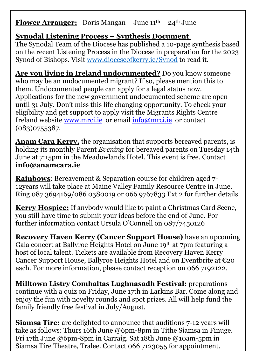### **Flower Arranger:** Doris Mangan – June  $11^{\text{th}} - 24^{\text{th}}$  June

## **Synodal Listening Process – Synthesis Document**

The Synodal Team of the Diocese has published a 10-page synthesis based on the recent Listening Process in the Diocese in preparation for the 2023 Synod of Bishops. Visit [www.dioceseofkerry.ie/Synod](http://www.dioceseofkerry.ie/Synod) to read it.

**Are you living in Ireland undocumented?** Do you know someone who may be an undocumented migrant? If so, please mention this to them. Undocumented people can apply for a legal status now. Applications for the new government undocumented scheme are open until 31 July. Don't miss this life changing opportunity. To check your eligibility and get support to apply visit the Migrants Rights Centre Ireland website [www.mrci.ie](http://www.mrci.ie/) or email [info@mrci.ie](mailto:info@mrci.ie) or contact (083)0755387.

**Anam Cara Kerry,** the organisation that supports bereaved parents, is holding its monthly Parent *Evening* for bereaved parents on Tuesday 14th June at 7:15pm in the Meadowlands Hotel. This event is free. Contact **[info@anamcara.ie](mailto:info@anamcara.ie)**

**Rainbows**: Bereavement & Separation course for children aged 7- 12years will take place at Maine Valley Family Resource Centre in June. Ring 087 3694169/086 0580019 or 066 9767833 Ext 2 for further details.

**Kerry Hospice:** If anybody would like to paint a Christmas Card Scene, you still have time to submit your ideas before the end of June. For further information contact Ursula O'Connell on 087/7450126

**Recovery Haven Kerry (Cancer Support House)** have an upcoming Gala concert at [Ballyroe](https://www.facebook.com/BallyroeHeightsHotel/?__cft__%5b0%5d=AZVsoTYVuVosj4QRos63Q6uh5W-eYt_gjW_MsuBKqoezaSkgPuAlTsLz_34PaQAI8H8qVIOwayvhWBwNCVPmDqyroK8b_ziwVT-MAYgPeSaxAm_ttSTBniQFjsel15uT_Wm9yAchchhhS8Hp5dL2zgKqTpfItvPACMPEqgj0NCLxO6xWJQ8-R_LbL8cceWvjpN0&__tn__=kK-R) Heights Hotel on June 19th at 7pm featuring a host of local talent. Tickets are available from [Recovery](https://www.facebook.com/recoveryhaven?__cft__%5b0%5d=AZVsoTYVuVosj4QRos63Q6uh5W-eYt_gjW_MsuBKqoezaSkgPuAlTsLz_34PaQAI8H8qVIOwayvhWBwNCVPmDqyroK8b_ziwVT-MAYgPeSaxAm_ttSTBniQFjsel15uT_Wm9yAchchhhS8Hp5dL2zgKqTpfItvPACMPEqgj0NCLxO6xWJQ8-R_LbL8cceWvjpN0&__tn__=-%5dK-R) Haven Kerry Cancer [Support](https://www.facebook.com/recoveryhaven?__cft__%5b0%5d=AZVsoTYVuVosj4QRos63Q6uh5W-eYt_gjW_MsuBKqoezaSkgPuAlTsLz_34PaQAI8H8qVIOwayvhWBwNCVPmDqyroK8b_ziwVT-MAYgPeSaxAm_ttSTBniQFjsel15uT_Wm9yAchchhhS8Hp5dL2zgKqTpfItvPACMPEqgj0NCLxO6xWJQ8-R_LbL8cceWvjpN0&__tn__=-%5dK-R) House, Ballyroe Heights Hotel and on Eventbrite at €20 each. For more information, please contact reception on 066 7192122.

**Milltown Listry Comhaltas Lughnasadh Festival:** preparations continue with a quiz on Friday, June 17th in Larkins Bar. Come along and enjoy the fun with novelty rounds and spot prizes. All will help fund the family friendly free festival in July/August.

**Siamsa Tíre:** are delighted to announce that auditions 7-12 years will take as follows: Thurs 16th June @6pm-8pm in Tithe Siamsa in Finuge. Fri 17th June @6pm-8pm in Carraig. Sat 18th June @10am-5pm in Siamsa Tíre Theatre, Tralee. Contact 066 7123055 for appointment.